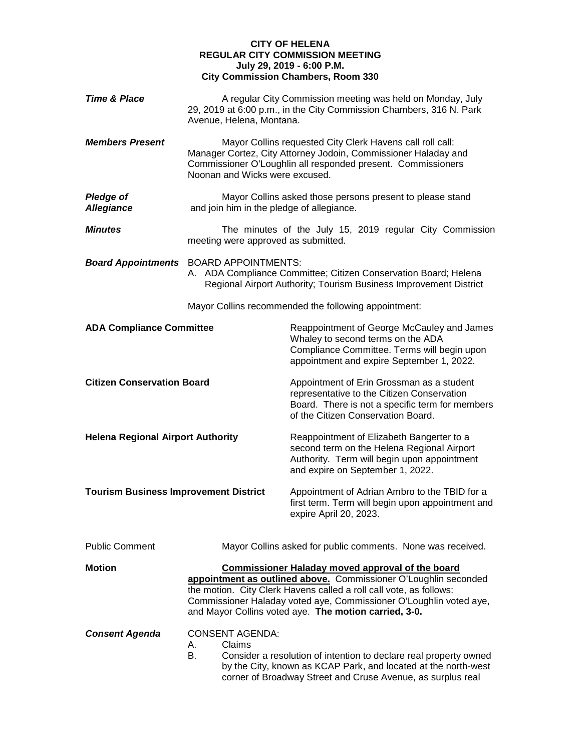## **CITY OF HELENA REGULAR CITY COMMISSION MEETING July 29, 2019 - 6:00 P.M. City Commission Chambers, Room 330**

| <b>Time &amp; Place</b>                      | Avenue, Helena, Montana.                      | A regular City Commission meeting was held on Monday, July<br>29, 2019 at 6:00 p.m., in the City Commission Chambers, 316 N. Park                                                                                                                                                                                               |
|----------------------------------------------|-----------------------------------------------|---------------------------------------------------------------------------------------------------------------------------------------------------------------------------------------------------------------------------------------------------------------------------------------------------------------------------------|
| <b>Members Present</b>                       | Noonan and Wicks were excused.                | Mayor Collins requested City Clerk Havens call roll call:<br>Manager Cortez, City Attorney Jodoin, Commissioner Haladay and<br>Commissioner O'Loughlin all responded present. Commissioners                                                                                                                                     |
| <b>Pledge of</b><br><b>Allegiance</b>        | and join him in the pledge of allegiance.     | Mayor Collins asked those persons present to please stand                                                                                                                                                                                                                                                                       |
| <b>Minutes</b>                               | meeting were approved as submitted.           | The minutes of the July 15, 2019 regular City Commission                                                                                                                                                                                                                                                                        |
|                                              | <b>Board Appointments</b> BOARD APPOINTMENTS: | A. ADA Compliance Committee; Citizen Conservation Board; Helena<br>Regional Airport Authority; Tourism Business Improvement District                                                                                                                                                                                            |
|                                              |                                               | Mayor Collins recommended the following appointment:                                                                                                                                                                                                                                                                            |
| <b>ADA Compliance Committee</b>              |                                               | Reappointment of George McCauley and James<br>Whaley to second terms on the ADA<br>Compliance Committee. Terms will begin upon<br>appointment and expire September 1, 2022.                                                                                                                                                     |
| <b>Citizen Conservation Board</b>            |                                               | Appointment of Erin Grossman as a student<br>representative to the Citizen Conservation<br>Board. There is not a specific term for members<br>of the Citizen Conservation Board.                                                                                                                                                |
| <b>Helena Regional Airport Authority</b>     |                                               | Reappointment of Elizabeth Bangerter to a<br>second term on the Helena Regional Airport<br>Authority. Term will begin upon appointment<br>and expire on September 1, 2022.                                                                                                                                                      |
| <b>Tourism Business Improvement District</b> |                                               | Appointment of Adrian Ambro to the TBID for a<br>first term. Term will begin upon appointment and<br>expire April 20, 2023.                                                                                                                                                                                                     |
| <b>Public Comment</b>                        |                                               | Mayor Collins asked for public comments. None was received.                                                                                                                                                                                                                                                                     |
| <b>Motion</b>                                |                                               | <b>Commissioner Haladay moved approval of the board</b><br>appointment as outlined above. Commissioner O'Loughlin seconded<br>the motion. City Clerk Havens called a roll call vote, as follows:<br>Commissioner Haladay voted aye, Commissioner O'Loughlin voted aye,<br>and Mayor Collins voted aye. The motion carried, 3-0. |
| <b>Consent Agenda</b>                        | <b>CONSENT AGENDA:</b><br>Claims<br>А.<br>В.  | Consider a resolution of intention to declare real property owned<br>by the City, known as KCAP Park, and located at the north-west<br>corner of Broadway Street and Cruse Avenue, as surplus real                                                                                                                              |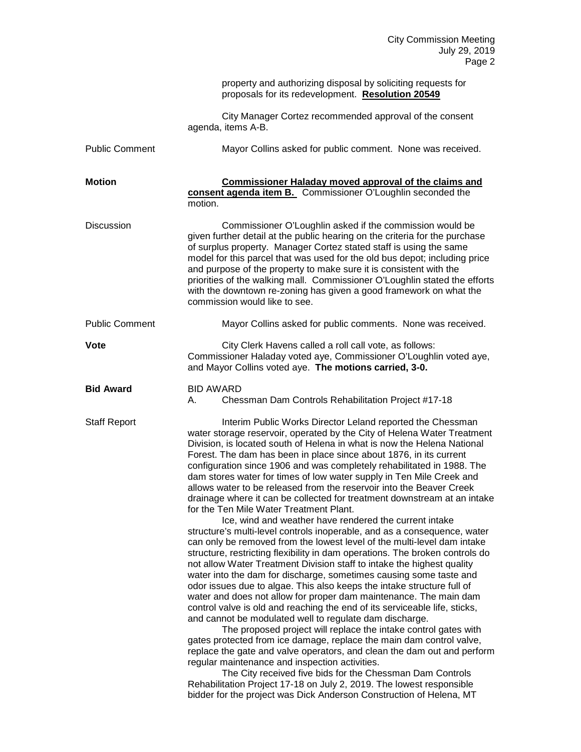|                       | property and authorizing disposal by soliciting requests for<br>proposals for its redevelopment. Resolution 20549                                                                                                                                                                                                                                                                                                                                                                                                                                                                                                                                                                                                                                                                                                                                                                                                                                                                                                                                                                                                                                                                                                                                                                                                                                                                                                                                                                                                                                                                                                                                                                                                                                                                                                                                                    |
|-----------------------|----------------------------------------------------------------------------------------------------------------------------------------------------------------------------------------------------------------------------------------------------------------------------------------------------------------------------------------------------------------------------------------------------------------------------------------------------------------------------------------------------------------------------------------------------------------------------------------------------------------------------------------------------------------------------------------------------------------------------------------------------------------------------------------------------------------------------------------------------------------------------------------------------------------------------------------------------------------------------------------------------------------------------------------------------------------------------------------------------------------------------------------------------------------------------------------------------------------------------------------------------------------------------------------------------------------------------------------------------------------------------------------------------------------------------------------------------------------------------------------------------------------------------------------------------------------------------------------------------------------------------------------------------------------------------------------------------------------------------------------------------------------------------------------------------------------------------------------------------------------------|
|                       | City Manager Cortez recommended approval of the consent<br>agenda, items A-B.                                                                                                                                                                                                                                                                                                                                                                                                                                                                                                                                                                                                                                                                                                                                                                                                                                                                                                                                                                                                                                                                                                                                                                                                                                                                                                                                                                                                                                                                                                                                                                                                                                                                                                                                                                                        |
| <b>Public Comment</b> | Mayor Collins asked for public comment. None was received.                                                                                                                                                                                                                                                                                                                                                                                                                                                                                                                                                                                                                                                                                                                                                                                                                                                                                                                                                                                                                                                                                                                                                                                                                                                                                                                                                                                                                                                                                                                                                                                                                                                                                                                                                                                                           |
| <b>Motion</b>         | <b>Commissioner Haladay moved approval of the claims and</b><br>consent agenda item B. Commissioner O'Loughlin seconded the<br>motion.                                                                                                                                                                                                                                                                                                                                                                                                                                                                                                                                                                                                                                                                                                                                                                                                                                                                                                                                                                                                                                                                                                                                                                                                                                                                                                                                                                                                                                                                                                                                                                                                                                                                                                                               |
| <b>Discussion</b>     | Commissioner O'Loughlin asked if the commission would be<br>given further detail at the public hearing on the criteria for the purchase<br>of surplus property. Manager Cortez stated staff is using the same<br>model for this parcel that was used for the old bus depot; including price<br>and purpose of the property to make sure it is consistent with the<br>priorities of the walking mall. Commissioner O'Loughlin stated the efforts<br>with the downtown re-zoning has given a good framework on what the<br>commission would like to see.                                                                                                                                                                                                                                                                                                                                                                                                                                                                                                                                                                                                                                                                                                                                                                                                                                                                                                                                                                                                                                                                                                                                                                                                                                                                                                               |
| <b>Public Comment</b> | Mayor Collins asked for public comments. None was received.                                                                                                                                                                                                                                                                                                                                                                                                                                                                                                                                                                                                                                                                                                                                                                                                                                                                                                                                                                                                                                                                                                                                                                                                                                                                                                                                                                                                                                                                                                                                                                                                                                                                                                                                                                                                          |
| Vote                  | City Clerk Havens called a roll call vote, as follows:<br>Commissioner Haladay voted aye, Commissioner O'Loughlin voted aye,<br>and Mayor Collins voted aye. The motions carried, 3-0.                                                                                                                                                                                                                                                                                                                                                                                                                                                                                                                                                                                                                                                                                                                                                                                                                                                                                                                                                                                                                                                                                                                                                                                                                                                                                                                                                                                                                                                                                                                                                                                                                                                                               |
| <b>Bid Award</b>      | <b>BID AWARD</b><br>Chessman Dam Controls Rehabilitation Project #17-18<br>А.                                                                                                                                                                                                                                                                                                                                                                                                                                                                                                                                                                                                                                                                                                                                                                                                                                                                                                                                                                                                                                                                                                                                                                                                                                                                                                                                                                                                                                                                                                                                                                                                                                                                                                                                                                                        |
| <b>Staff Report</b>   | Interim Public Works Director Leland reported the Chessman<br>water storage reservoir, operated by the City of Helena Water Treatment<br>Division, is located south of Helena in what is now the Helena National<br>Forest. The dam has been in place since about 1876, in its current<br>configuration since 1906 and was completely rehabilitated in 1988. The<br>dam stores water for times of low water supply in Ten Mile Creek and<br>allows water to be released from the reservoir into the Beaver Creek<br>drainage where it can be collected for treatment downstream at an intake<br>for the Ten Mile Water Treatment Plant.<br>Ice, wind and weather have rendered the current intake<br>structure's multi-level controls inoperable, and as a consequence, water<br>can only be removed from the lowest level of the multi-level dam intake<br>structure, restricting flexibility in dam operations. The broken controls do<br>not allow Water Treatment Division staff to intake the highest quality<br>water into the dam for discharge, sometimes causing some taste and<br>odor issues due to algae. This also keeps the intake structure full of<br>water and does not allow for proper dam maintenance. The main dam<br>control valve is old and reaching the end of its serviceable life, sticks,<br>and cannot be modulated well to regulate dam discharge.<br>The proposed project will replace the intake control gates with<br>gates protected from ice damage, replace the main dam control valve,<br>replace the gate and valve operators, and clean the dam out and perform<br>regular maintenance and inspection activities.<br>The City received five bids for the Chessman Dam Controls<br>Rehabilitation Project 17-18 on July 2, 2019. The lowest responsible<br>bidder for the project was Dick Anderson Construction of Helena, MT |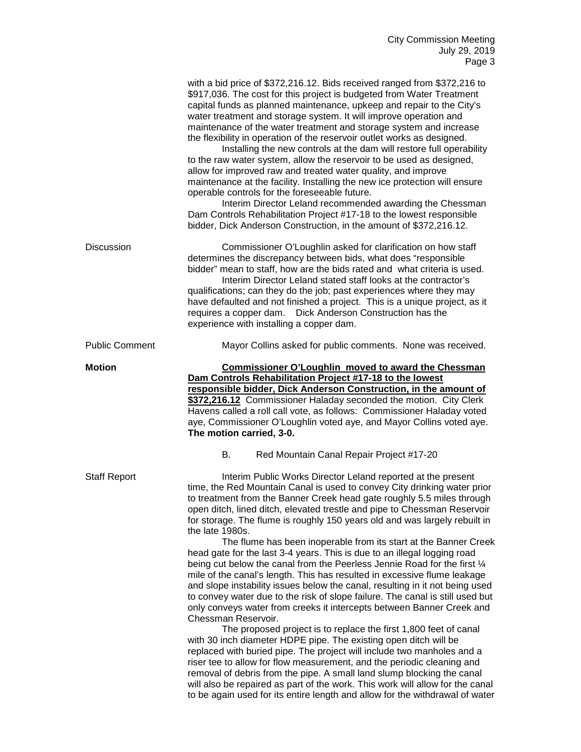|                       | with a bid price of \$372,216.12. Bids received ranged from \$372,216 to<br>\$917,036. The cost for this project is budgeted from Water Treatment<br>capital funds as planned maintenance, upkeep and repair to the City's<br>water treatment and storage system. It will improve operation and<br>maintenance of the water treatment and storage system and increase<br>the flexibility in operation of the reservoir outlet works as designed.<br>Installing the new controls at the dam will restore full operability<br>to the raw water system, allow the reservoir to be used as designed,<br>allow for improved raw and treated water quality, and improve<br>maintenance at the facility. Installing the new ice protection will ensure<br>operable controls for the foreseeable future.<br>Interim Director Leland recommended awarding the Chessman<br>Dam Controls Rehabilitation Project #17-18 to the lowest responsible<br>bidder, Dick Anderson Construction, in the amount of \$372,216.12.                                                                                                                                                                                                                                                                                                                                                                                                                                                                                                      |
|-----------------------|------------------------------------------------------------------------------------------------------------------------------------------------------------------------------------------------------------------------------------------------------------------------------------------------------------------------------------------------------------------------------------------------------------------------------------------------------------------------------------------------------------------------------------------------------------------------------------------------------------------------------------------------------------------------------------------------------------------------------------------------------------------------------------------------------------------------------------------------------------------------------------------------------------------------------------------------------------------------------------------------------------------------------------------------------------------------------------------------------------------------------------------------------------------------------------------------------------------------------------------------------------------------------------------------------------------------------------------------------------------------------------------------------------------------------------------------------------------------------------------------------------------|
| <b>Discussion</b>     | Commissioner O'Loughlin asked for clarification on how staff<br>determines the discrepancy between bids, what does "responsible<br>bidder" mean to staff, how are the bids rated and what criteria is used.<br>Interim Director Leland stated staff looks at the contractor's<br>qualifications; can they do the job; past experiences where they may<br>have defaulted and not finished a project. This is a unique project, as it<br>requires a copper dam. Dick Anderson Construction has the<br>experience with installing a copper dam.                                                                                                                                                                                                                                                                                                                                                                                                                                                                                                                                                                                                                                                                                                                                                                                                                                                                                                                                                                     |
| <b>Public Comment</b> | Mayor Collins asked for public comments. None was received.                                                                                                                                                                                                                                                                                                                                                                                                                                                                                                                                                                                                                                                                                                                                                                                                                                                                                                                                                                                                                                                                                                                                                                                                                                                                                                                                                                                                                                                      |
| <b>Motion</b>         | <b>Commissioner O'Loughlin moved to award the Chessman</b><br>Dam Controls Rehabilitation Project #17-18 to the lowest<br>responsible bidder, Dick Anderson Construction, in the amount of<br>\$372,216.12 Commissioner Haladay seconded the motion. City Clerk<br>Havens called a roll call vote, as follows: Commissioner Haladay voted<br>aye, Commissioner O'Loughlin voted aye, and Mayor Collins voted aye.<br>The motion carried, 3-0.<br>В.<br>Red Mountain Canal Repair Project #17-20                                                                                                                                                                                                                                                                                                                                                                                                                                                                                                                                                                                                                                                                                                                                                                                                                                                                                                                                                                                                                  |
| <b>Staff Report</b>   | Interim Public Works Director Leland reported at the present<br>time, the Red Mountain Canal is used to convey City drinking water prior<br>to treatment from the Banner Creek head gate roughly 5.5 miles through<br>open ditch, lined ditch, elevated trestle and pipe to Chessman Reservoir<br>for storage. The flume is roughly 150 years old and was largely rebuilt in<br>the late 1980s.<br>The flume has been inoperable from its start at the Banner Creek<br>head gate for the last 3-4 years. This is due to an illegal logging road<br>being cut below the canal from the Peerless Jennie Road for the first 1/4<br>mile of the canal's length. This has resulted in excessive flume leakage<br>and slope instability issues below the canal, resulting in it not being used<br>to convey water due to the risk of slope failure. The canal is still used but<br>only conveys water from creeks it intercepts between Banner Creek and<br>Chessman Reservoir.<br>The proposed project is to replace the first 1,800 feet of canal<br>with 30 inch diameter HDPE pipe. The existing open ditch will be<br>replaced with buried pipe. The project will include two manholes and a<br>riser tee to allow for flow measurement, and the periodic cleaning and<br>removal of debris from the pipe. A small land slump blocking the canal<br>will also be repaired as part of the work. This work will allow for the canal<br>to be again used for its entire length and allow for the withdrawal of water |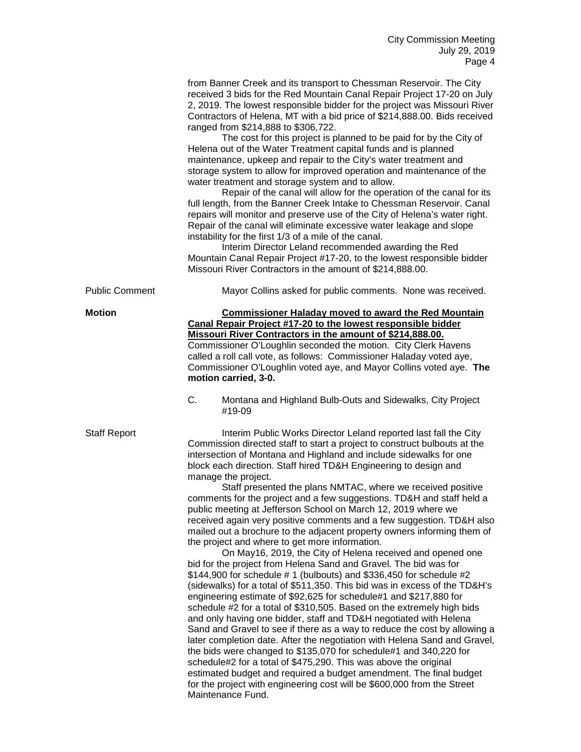|                       | from Banner Creek and its transport to Chessman Reservoir. The City<br>received 3 bids for the Red Mountain Canal Repair Project 17-20 on July<br>2, 2019. The lowest responsible bidder for the project was Missouri River<br>Contractors of Helena, MT with a bid price of \$214,888.00. Bids received<br>ranged from \$214,888 to \$306,722.<br>The cost for this project is planned to be paid for by the City of<br>Helena out of the Water Treatment capital funds and is planned<br>maintenance, upkeep and repair to the City's water treatment and<br>storage system to allow for improved operation and maintenance of the<br>water treatment and storage system and to allow.<br>Repair of the canal will allow for the operation of the canal for its<br>full length, from the Banner Creek Intake to Chessman Reservoir. Canal<br>repairs will monitor and preserve use of the City of Helena's water right.<br>Repair of the canal will eliminate excessive water leakage and slope<br>instability for the first 1/3 of a mile of the canal.                                                                                                                                                                                                                                                                                                                                                                                                                                                                                                                                                       |
|-----------------------|------------------------------------------------------------------------------------------------------------------------------------------------------------------------------------------------------------------------------------------------------------------------------------------------------------------------------------------------------------------------------------------------------------------------------------------------------------------------------------------------------------------------------------------------------------------------------------------------------------------------------------------------------------------------------------------------------------------------------------------------------------------------------------------------------------------------------------------------------------------------------------------------------------------------------------------------------------------------------------------------------------------------------------------------------------------------------------------------------------------------------------------------------------------------------------------------------------------------------------------------------------------------------------------------------------------------------------------------------------------------------------------------------------------------------------------------------------------------------------------------------------------------------------------------------------------------------------------------------------------|
|                       | Interim Director Leland recommended awarding the Red<br>Mountain Canal Repair Project #17-20, to the lowest responsible bidder<br>Missouri River Contractors in the amount of \$214,888.00.                                                                                                                                                                                                                                                                                                                                                                                                                                                                                                                                                                                                                                                                                                                                                                                                                                                                                                                                                                                                                                                                                                                                                                                                                                                                                                                                                                                                                      |
| <b>Public Comment</b> | Mayor Collins asked for public comments. None was received.                                                                                                                                                                                                                                                                                                                                                                                                                                                                                                                                                                                                                                                                                                                                                                                                                                                                                                                                                                                                                                                                                                                                                                                                                                                                                                                                                                                                                                                                                                                                                      |
| Motion                | <b>Commissioner Haladay moved to award the Red Mountain</b><br>Canal Repair Project #17-20 to the lowest responsible bidder<br>Missouri River Contractors in the amount of \$214,888.00.<br>Commissioner O'Loughlin seconded the motion. City Clerk Havens<br>called a roll call vote, as follows: Commissioner Haladay voted aye,<br>Commissioner O'Loughlin voted aye, and Mayor Collins voted aye. The<br>motion carried, 3-0.<br>C.<br>Montana and Highland Bulb-Outs and Sidewalks, City Project<br>#19-09                                                                                                                                                                                                                                                                                                                                                                                                                                                                                                                                                                                                                                                                                                                                                                                                                                                                                                                                                                                                                                                                                                  |
| Staff Report          | Interim Public Works Director Leland reported last fall the City<br>Commission directed staff to start a project to construct bulbouts at the<br>intersection of Montana and Highland and include sidewalks for one<br>block each direction. Staff hired TD&H Engineering to design and<br>manage the project.<br>Staff presented the plans NMTAC, where we received positive<br>comments for the project and a few suggestions. TD&H and staff held a<br>public meeting at Jefferson School on March 12, 2019 where we<br>received again very positive comments and a few suggestion. TD&H also<br>mailed out a brochure to the adjacent property owners informing them of<br>the project and where to get more information.<br>On May16, 2019, the City of Helena received and opened one<br>bid for the project from Helena Sand and Gravel. The bid was for<br>\$144,900 for schedule #1 (bulbouts) and \$336,450 for schedule #2<br>(sidewalks) for a total of \$511,350. This bid was in excess of the TD&H's<br>engineering estimate of \$92,625 for schedule#1 and \$217,880 for<br>schedule #2 for a total of \$310,505. Based on the extremely high bids<br>and only having one bidder, staff and TD&H negotiated with Helena<br>Sand and Gravel to see if there as a way to reduce the cost by allowing a<br>later completion date. After the negotiation with Helena Sand and Gravel,<br>the bids were changed to \$135,070 for schedule#1 and 340,220 for<br>schedule#2 for a total of \$475,290. This was above the original<br>estimated budget and required a budget amendment. The final budget |

for the project with engineering cost will be \$600,000 from the Street

Maintenance Fund.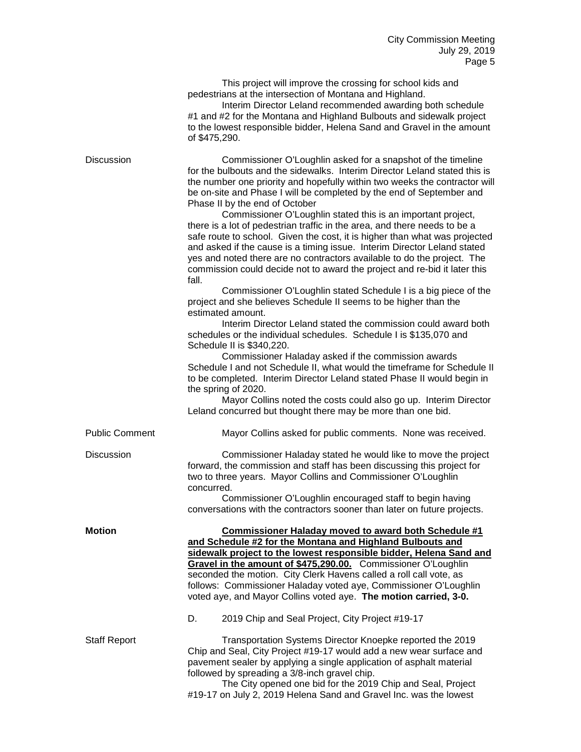This project will improve the crossing for school kids and pedestrians at the intersection of Montana and Highland.

Interim Director Leland recommended awarding both schedule #1 and #2 for the Montana and Highland Bulbouts and sidewalk project to the lowest responsible bidder, Helena Sand and Gravel in the amount of \$475,290.

| <b>Discussion</b>     | Commissioner O'Loughlin asked for a snapshot of the timeline<br>for the bulbouts and the sidewalks. Interim Director Leland stated this is<br>the number one priority and hopefully within two weeks the contractor will<br>be on-site and Phase I will be completed by the end of September and<br>Phase II by the end of October<br>Commissioner O'Loughlin stated this is an important project,<br>there is a lot of pedestrian traffic in the area, and there needs to be a<br>safe route to school. Given the cost, it is higher than what was projected<br>and asked if the cause is a timing issue. Interim Director Leland stated<br>yes and noted there are no contractors available to do the project. The<br>commission could decide not to award the project and re-bid it later this<br>fall.<br>Commissioner O'Loughlin stated Schedule I is a big piece of the<br>project and she believes Schedule II seems to be higher than the<br>estimated amount.<br>Interim Director Leland stated the commission could award both<br>schedules or the individual schedules. Schedule I is \$135,070 and<br>Schedule II is \$340,220.<br>Commissioner Haladay asked if the commission awards<br>Schedule I and not Schedule II, what would the timeframe for Schedule II<br>to be completed. Interim Director Leland stated Phase II would begin in<br>the spring of 2020.<br>Mayor Collins noted the costs could also go up. Interim Director<br>Leland concurred but thought there may be more than one bid. |
|-----------------------|----------------------------------------------------------------------------------------------------------------------------------------------------------------------------------------------------------------------------------------------------------------------------------------------------------------------------------------------------------------------------------------------------------------------------------------------------------------------------------------------------------------------------------------------------------------------------------------------------------------------------------------------------------------------------------------------------------------------------------------------------------------------------------------------------------------------------------------------------------------------------------------------------------------------------------------------------------------------------------------------------------------------------------------------------------------------------------------------------------------------------------------------------------------------------------------------------------------------------------------------------------------------------------------------------------------------------------------------------------------------------------------------------------------------------------------------------------------------------------------------------------------------|
| <b>Public Comment</b> | Mayor Collins asked for public comments. None was received.                                                                                                                                                                                                                                                                                                                                                                                                                                                                                                                                                                                                                                                                                                                                                                                                                                                                                                                                                                                                                                                                                                                                                                                                                                                                                                                                                                                                                                                          |
| <b>Discussion</b>     | Commissioner Haladay stated he would like to move the project<br>forward, the commission and staff has been discussing this project for<br>two to three years. Mayor Collins and Commissioner O'Loughlin<br>concurred.<br>Commissioner O'Loughlin encouraged staff to begin having<br>conversations with the contractors sooner than later on future projects.                                                                                                                                                                                                                                                                                                                                                                                                                                                                                                                                                                                                                                                                                                                                                                                                                                                                                                                                                                                                                                                                                                                                                       |
| <b>Motion</b>         | <b>Commissioner Haladay moved to award both Schedule #1</b><br>and Schedule #2 for the Montana and Highland Bulbouts and<br>sidewalk project to the lowest responsible bidder, Helena Sand and<br>Gravel in the amount of \$475,290.00. Commissioner O'Loughlin<br>seconded the motion. City Clerk Havens called a roll call vote, as<br>follows: Commissioner Haladay voted aye, Commissioner O'Loughlin<br>voted aye, and Mayor Collins voted aye. The motion carried, 3-0.<br>2019 Chip and Seal Project, City Project #19-17<br>D.                                                                                                                                                                                                                                                                                                                                                                                                                                                                                                                                                                                                                                                                                                                                                                                                                                                                                                                                                                               |
| <b>Staff Report</b>   | Transportation Systems Director Knoepke reported the 2019<br>Chip and Seal, City Project #19-17 would add a new wear surface and<br>pavement sealer by applying a single application of asphalt material<br>followed by spreading a 3/8-inch gravel chip.<br>The City opened one bid for the 2019 Chip and Seal, Project                                                                                                                                                                                                                                                                                                                                                                                                                                                                                                                                                                                                                                                                                                                                                                                                                                                                                                                                                                                                                                                                                                                                                                                             |

#19-17 on July 2, 2019 Helena Sand and Gravel Inc. was the lowest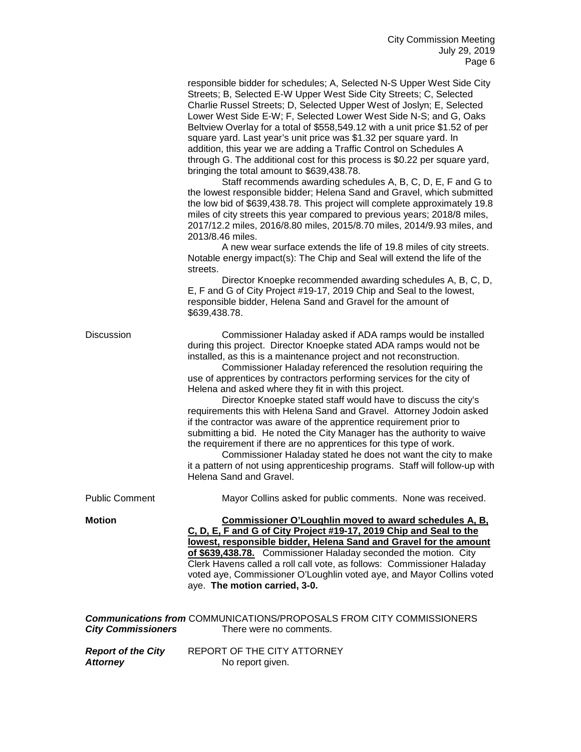| responsible bidder for schedules; A, Selected N-S Upper West Side City<br>Streets; B, Selected E-W Upper West Side City Streets; C, Selected |
|----------------------------------------------------------------------------------------------------------------------------------------------|
|                                                                                                                                              |
| Charlie Russel Streets; D, Selected Upper West of Joslyn; E, Selected                                                                        |
| Lower West Side E-W; F, Selected Lower West Side N-S; and G, Oaks                                                                            |
| Beltview Overlay for a total of \$558,549.12 with a unit price \$1.52 of per                                                                 |
| square yard. Last year's unit price was \$1.32 per square yard. In                                                                           |
| addition, this year we are adding a Traffic Control on Schedules A                                                                           |
| through G. The additional cost for this process is \$0.22 per square yard,                                                                   |
| bringing the total amount to \$639,438.78.                                                                                                   |
|                                                                                                                                              |

Staff recommends awarding schedules A, B, C, D, E, F and G to the lowest responsible bidder; Helena Sand and Gravel, which submitted the low bid of \$639,438.78. This project will complete approximately 19.8 miles of city streets this year compared to previous years; 2018/8 miles, 2017/12.2 miles, 2016/8.80 miles, 2015/8.70 miles, 2014/9.93 miles, and 2013/8.46 miles.

A new wear surface extends the life of 19.8 miles of city streets. Notable energy impact(s): The Chip and Seal will extend the life of the streets.

Director Knoepke recommended awarding schedules A, B, C, D, E, F and G of City Project #19-17, 2019 Chip and Seal to the lowest, responsible bidder, Helena Sand and Gravel for the amount of \$639,438.78.

Discussion Commissioner Haladay asked if ADA ramps would be installed during this project. Director Knoepke stated ADA ramps would not be installed, as this is a maintenance project and not reconstruction.

> Commissioner Haladay referenced the resolution requiring the use of apprentices by contractors performing services for the city of Helena and asked where they fit in with this project.

Director Knoepke stated staff would have to discuss the city's requirements this with Helena Sand and Gravel. Attorney Jodoin asked if the contractor was aware of the apprentice requirement prior to submitting a bid. He noted the City Manager has the authority to waive the requirement if there are no apprentices for this type of work.

Commissioner Haladay stated he does not want the city to make it a pattern of not using apprenticeship programs. Staff will follow-up with Helena Sand and Gravel.

Public Comment Mayor Collins asked for public comments. None was received.

**Motion Commissioner O'Loughlin moved to award schedules A, B, C, D, E, F and G of City Project #19-17, 2019 Chip and Seal to the lowest, responsible bidder, Helena Sand and Gravel for the amount of \$639,438.78.** Commissioner Haladay seconded the motion. City Clerk Havens called a roll call vote, as follows: Commissioner Haladay voted aye, Commissioner O'Loughlin voted aye, and Mayor Collins voted aye. **The motion carried, 3-0.**

| <b>Communications from COMMUNICATIONS/PROPOSALS FROM CITY COMMISSIONERS</b> |                             |
|-----------------------------------------------------------------------------|-----------------------------|
| <b>City Commissioners</b>                                                   | There were no comments.     |
|                                                                             |                             |
| <b>Report of the City</b>                                                   | REPORT OF THE CITY ATTORNEY |
| <b>Attorney</b>                                                             | No report given.            |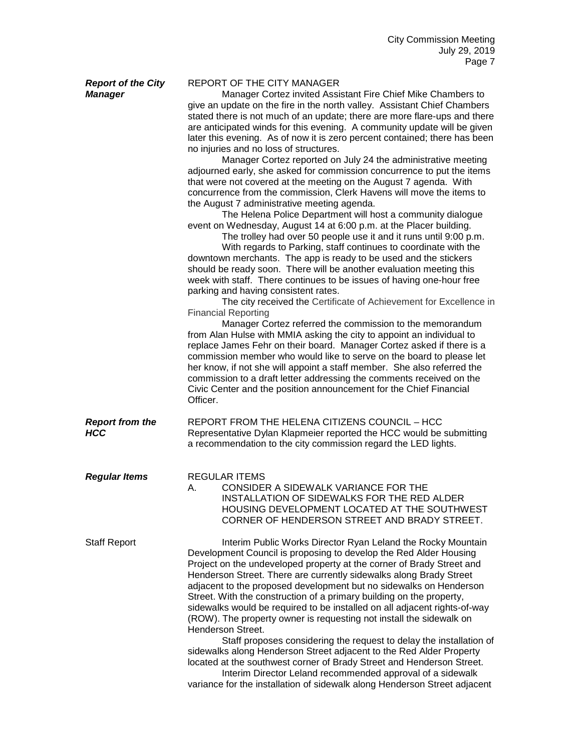| <b>Report of the City</b><br><b>Manager</b> | <b>REPORT OF THE CITY MANAGER</b><br>Manager Cortez invited Assistant Fire Chief Mike Chambers to<br>give an update on the fire in the north valley. Assistant Chief Chambers<br>stated there is not much of an update; there are more flare-ups and there<br>are anticipated winds for this evening. A community update will be given<br>later this evening. As of now it is zero percent contained; there has been<br>no injuries and no loss of structures.<br>Manager Cortez reported on July 24 the administrative meeting<br>adjourned early, she asked for commission concurrence to put the items<br>that were not covered at the meeting on the August 7 agenda. With<br>concurrence from the commission, Clerk Havens will move the items to<br>the August 7 administrative meeting agenda.<br>The Helena Police Department will host a community dialogue<br>event on Wednesday, August 14 at 6:00 p.m. at the Placer building.<br>The trolley had over 50 people use it and it runs until 9:00 p.m.<br>With regards to Parking, staff continues to coordinate with the<br>downtown merchants. The app is ready to be used and the stickers<br>should be ready soon. There will be another evaluation meeting this<br>week with staff. There continues to be issues of having one-hour free<br>parking and having consistent rates.<br>The city received the Certificate of Achievement for Excellence in<br><b>Financial Reporting</b><br>Manager Cortez referred the commission to the memorandum<br>from Alan Hulse with MMIA asking the city to appoint an individual to<br>replace James Fehr on their board. Manager Cortez asked if there is a<br>commission member who would like to serve on the board to please let<br>her know, if not she will appoint a staff member. She also referred the<br>commission to a draft letter addressing the comments received on the<br>Civic Center and the position announcement for the Chief Financial<br>Officer. |
|---------------------------------------------|-------------------------------------------------------------------------------------------------------------------------------------------------------------------------------------------------------------------------------------------------------------------------------------------------------------------------------------------------------------------------------------------------------------------------------------------------------------------------------------------------------------------------------------------------------------------------------------------------------------------------------------------------------------------------------------------------------------------------------------------------------------------------------------------------------------------------------------------------------------------------------------------------------------------------------------------------------------------------------------------------------------------------------------------------------------------------------------------------------------------------------------------------------------------------------------------------------------------------------------------------------------------------------------------------------------------------------------------------------------------------------------------------------------------------------------------------------------------------------------------------------------------------------------------------------------------------------------------------------------------------------------------------------------------------------------------------------------------------------------------------------------------------------------------------------------------------------------------------------------------------------------------------------------------------------------------------------------------------------|
| <b>Report from the</b><br><b>HCC</b>        | REPORT FROM THE HELENA CITIZENS COUNCIL - HCC<br>Representative Dylan Klapmeier reported the HCC would be submitting<br>a recommendation to the city commission regard the LED lights.                                                                                                                                                                                                                                                                                                                                                                                                                                                                                                                                                                                                                                                                                                                                                                                                                                                                                                                                                                                                                                                                                                                                                                                                                                                                                                                                                                                                                                                                                                                                                                                                                                                                                                                                                                                        |
| <b>Regular Items</b>                        | <b>REGULAR ITEMS</b><br>CONSIDER A SIDEWALK VARIANCE FOR THE<br>Α.<br>INSTALLATION OF SIDEWALKS FOR THE RED ALDER<br>HOUSING DEVELOPMENT LOCATED AT THE SOUTHWEST<br>CORNER OF HENDERSON STREET AND BRADY STREET.                                                                                                                                                                                                                                                                                                                                                                                                                                                                                                                                                                                                                                                                                                                                                                                                                                                                                                                                                                                                                                                                                                                                                                                                                                                                                                                                                                                                                                                                                                                                                                                                                                                                                                                                                             |
| <b>Staff Report</b>                         | Interim Public Works Director Ryan Leland the Rocky Mountain<br>Development Council is proposing to develop the Red Alder Housing<br>Project on the undeveloped property at the corner of Brady Street and<br>Henderson Street. There are currently sidewalks along Brady Street<br>adjacent to the proposed development but no sidewalks on Henderson<br>Street. With the construction of a primary building on the property,<br>sidewalks would be required to be installed on all adjacent rights-of-way<br>(ROW). The property owner is requesting not install the sidewalk on<br>Henderson Street.<br>Staff proposes considering the request to delay the installation of<br>sidewalks along Henderson Street adjacent to the Red Alder Property<br>located at the southwest corner of Brady Street and Henderson Street.<br>Interim Director Leland recommended approval of a sidewalk<br>variance for the installation of sidewalk along Henderson Street adjacent                                                                                                                                                                                                                                                                                                                                                                                                                                                                                                                                                                                                                                                                                                                                                                                                                                                                                                                                                                                                     |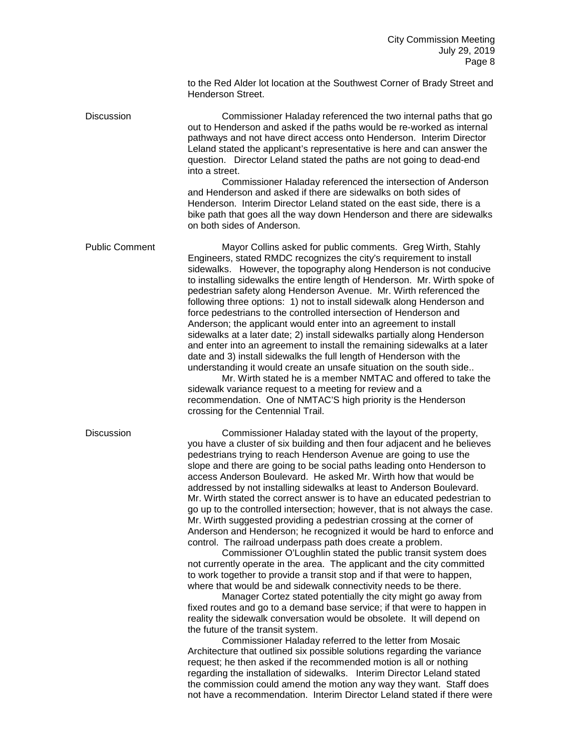to the Red Alder lot location at the Southwest Corner of Brady Street and Henderson Street.

Discussion Commissioner Haladay referenced the two internal paths that go out to Henderson and asked if the paths would be re-worked as internal pathways and not have direct access onto Henderson. Interim Director Leland stated the applicant's representative is here and can answer the question. Director Leland stated the paths are not going to dead-end into a street.

Commissioner Haladay referenced the intersection of Anderson and Henderson and asked if there are sidewalks on both sides of Henderson. Interim Director Leland stated on the east side, there is a bike path that goes all the way down Henderson and there are sidewalks on both sides of Anderson.

Public Comment Mayor Collins asked for public comments. Greg Wirth, Stahly Engineers, stated RMDC recognizes the city's requirement to install sidewalks. However, the topography along Henderson is not conducive to installing sidewalks the entire length of Henderson. Mr. Wirth spoke of pedestrian safety along Henderson Avenue. Mr. Wirth referenced the following three options: 1) not to install sidewalk along Henderson and force pedestrians to the controlled intersection of Henderson and Anderson; the applicant would enter into an agreement to install sidewalks at a later date; 2) install sidewalks partially along Henderson and enter into an agreement to install the remaining sidewalks at a later date and 3) install sidewalks the full length of Henderson with the understanding it would create an unsafe situation on the south side..

Mr. Wirth stated he is a member NMTAC and offered to take the sidewalk variance request to a meeting for review and a recommendation. One of NMTAC'S high priority is the Henderson crossing for the Centennial Trail.

Discussion Commissioner Haladay stated with the layout of the property, you have a cluster of six building and then four adjacent and he believes pedestrians trying to reach Henderson Avenue are going to use the slope and there are going to be social paths leading onto Henderson to access Anderson Boulevard. He asked Mr. Wirth how that would be addressed by not installing sidewalks at least to Anderson Boulevard. Mr. Wirth stated the correct answer is to have an educated pedestrian to go up to the controlled intersection; however, that is not always the case. Mr. Wirth suggested providing a pedestrian crossing at the corner of Anderson and Henderson; he recognized it would be hard to enforce and control. The railroad underpass path does create a problem.

> Commissioner O'Loughlin stated the public transit system does not currently operate in the area. The applicant and the city committed to work together to provide a transit stop and if that were to happen, where that would be and sidewalk connectivity needs to be there.

> Manager Cortez stated potentially the city might go away from fixed routes and go to a demand base service; if that were to happen in reality the sidewalk conversation would be obsolete. It will depend on the future of the transit system.

Commissioner Haladay referred to the letter from Mosaic Architecture that outlined six possible solutions regarding the variance request; he then asked if the recommended motion is all or nothing regarding the installation of sidewalks. Interim Director Leland stated the commission could amend the motion any way they want. Staff does not have a recommendation. Interim Director Leland stated if there were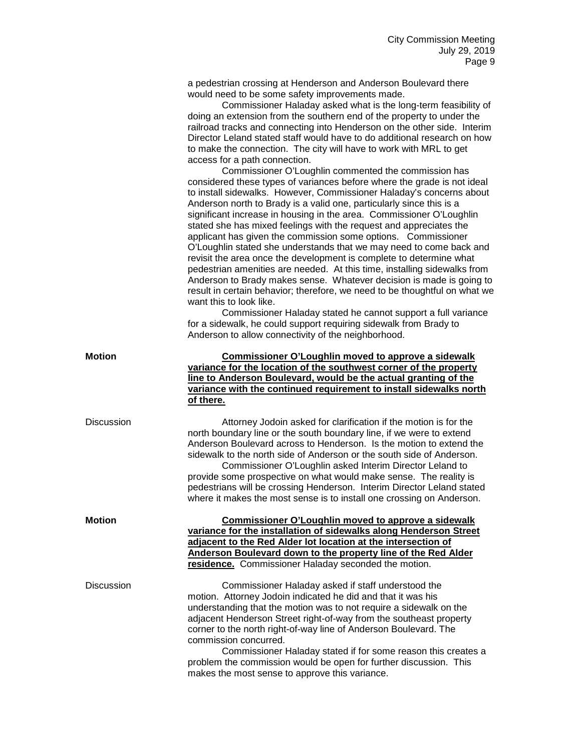a pedestrian crossing at Henderson and Anderson Boulevard there would need to be some safety improvements made.

|            | would need to be some salety improvements made.<br>Commissioner Haladay asked what is the long-term feasibility of<br>doing an extension from the southern end of the property to under the<br>railroad tracks and connecting into Henderson on the other side. Interim<br>Director Leland stated staff would have to do additional research on how<br>to make the connection. The city will have to work with MRL to get<br>access for a path connection.<br>Commissioner O'Loughlin commented the commission has<br>considered these types of variances before where the grade is not ideal<br>to install sidewalks. However, Commissioner Haladay's concerns about<br>Anderson north to Brady is a valid one, particularly since this is a<br>significant increase in housing in the area. Commissioner O'Loughlin<br>stated she has mixed feelings with the request and appreciates the<br>applicant has given the commission some options. Commissioner<br>O'Loughlin stated she understands that we may need to come back and<br>revisit the area once the development is complete to determine what |
|------------|------------------------------------------------------------------------------------------------------------------------------------------------------------------------------------------------------------------------------------------------------------------------------------------------------------------------------------------------------------------------------------------------------------------------------------------------------------------------------------------------------------------------------------------------------------------------------------------------------------------------------------------------------------------------------------------------------------------------------------------------------------------------------------------------------------------------------------------------------------------------------------------------------------------------------------------------------------------------------------------------------------------------------------------------------------------------------------------------------------|
|            | pedestrian amenities are needed. At this time, installing sidewalks from<br>Anderson to Brady makes sense. Whatever decision is made is going to<br>result in certain behavior; therefore, we need to be thoughtful on what we<br>want this to look like.<br>Commissioner Haladay stated he cannot support a full variance<br>for a sidewalk, he could support requiring sidewalk from Brady to                                                                                                                                                                                                                                                                                                                                                                                                                                                                                                                                                                                                                                                                                                            |
|            | Anderson to allow connectivity of the neighborhood.                                                                                                                                                                                                                                                                                                                                                                                                                                                                                                                                                                                                                                                                                                                                                                                                                                                                                                                                                                                                                                                        |
| Motion     | <b>Commissioner O'Loughlin moved to approve a sidewalk</b><br>variance for the location of the southwest corner of the property<br>line to Anderson Boulevard, would be the actual granting of the<br>variance with the continued requirement to install sidewalks north<br>of there.                                                                                                                                                                                                                                                                                                                                                                                                                                                                                                                                                                                                                                                                                                                                                                                                                      |
| Discussion | Attorney Jodoin asked for clarification if the motion is for the<br>north boundary line or the south boundary line, if we were to extend<br>Anderson Boulevard across to Henderson. Is the motion to extend the<br>sidewalk to the north side of Anderson or the south side of Anderson.<br>Commissioner O'Loughlin asked Interim Director Leland to<br>provide some prospective on what would make sense. The reality is<br>pedestrians will be crossing Henderson. Interim Director Leland stated<br>where it makes the most sense is to install one crossing on Anderson.                                                                                                                                                                                                                                                                                                                                                                                                                                                                                                                               |
| Motion     | Commissioner O'Loughlin moved to approve a sidewalk<br>variance for the installation of sidewalks along Henderson Street<br>adjacent to the Red Alder lot location at the intersection of<br>Anderson Boulevard down to the property line of the Red Alder<br>residence. Commissioner Haladay seconded the motion.                                                                                                                                                                                                                                                                                                                                                                                                                                                                                                                                                                                                                                                                                                                                                                                         |
| Discussion | Commissioner Haladay asked if staff understood the<br>motion. Attorney Jodoin indicated he did and that it was his<br>understanding that the motion was to not require a sidewalk on the<br>adjacent Henderson Street right-of-way from the southeast property<br>corner to the north right-of-way line of Anderson Boulevard. The<br>commission concurred.<br>Commissioner Haladay stated if for some reason this creates a<br>problem the commission would be open for further discussion. This<br>makes the most sense to approve this variance.                                                                                                                                                                                                                                                                                                                                                                                                                                                                                                                                                        |